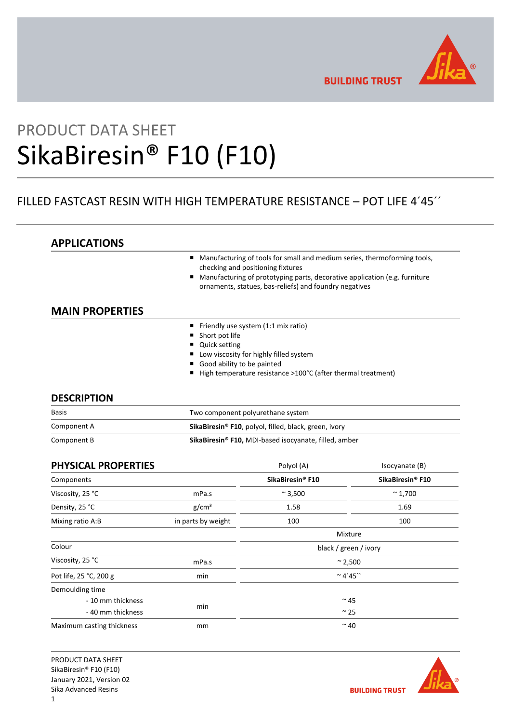

**BUILDING TRUST** 

# PRODUCT DATA SHEET SikaBiresin® F10 (F10)

## FILLED FASTCAST RESIN WITH HIGH TEMPERATURE RESISTANCE – POT LIFE 4´45´´

| <b>APPLICATIONS</b>    |                                                                                                                                           |
|------------------------|-------------------------------------------------------------------------------------------------------------------------------------------|
|                        | Manufacturing of tools for small and medium series, thermoforming tools,<br>п<br>checking and positioning fixtures                        |
|                        | Manufacturing of prototyping parts, decorative application (e.g. furniture<br>п<br>ornaments, statues, bas-reliefs) and foundry negatives |
| <b>MAIN PROPERTIES</b> |                                                                                                                                           |
|                        | Friendly use system (1:1 mix ratio)<br>п                                                                                                  |
|                        | Short pot life<br>п                                                                                                                       |
|                        | <b>Quick setting</b>                                                                                                                      |
|                        | Low viscosity for highly filled system<br>п                                                                                               |
|                        | Good ability to be painted<br>■                                                                                                           |
|                        | High temperature resistance >100°C (after thermal treatment)<br>■                                                                         |
|                        |                                                                                                                                           |
| <b>DESCRIPTION</b>     |                                                                                                                                           |

| <b>Basis</b> | Two component polyurethane system                                 |  |
|--------------|-------------------------------------------------------------------|--|
| Component A  | SikaBiresin <sup>®</sup> F10, polyol, filled, black, green, ivory |  |
| Component B  | SikaBiresin® F10, MDI-based isocyanate, filled, amber             |  |

| <b>PHYSICAL PROPERTIES</b> |                    | Polyol (A)                  | Isocyanate (B)   |
|----------------------------|--------------------|-----------------------------|------------------|
| Components                 |                    | SikaBiresin® F10            | SikaBiresin® F10 |
| Viscosity, 25 °C           | mPa.s              | $~\sim$ 3,500               | $~^{\sim}$ 1,700 |
| Density, 25 °C             | g/cm <sup>3</sup>  | 1.58                        | 1.69             |
| Mixing ratio A:B           | in parts by weight | 100                         | 100              |
|                            |                    | Mixture                     |                  |
| Colour                     |                    | black / green / ivory       |                  |
| Viscosity, 25 °C           | mPa.s              | $~^{\circ}$ 2,500           |                  |
| Pot life, 25 °C, 200 g     | min                | $~^{\circ}$ 4'45 $^{\circ}$ |                  |
| Demoulding time            |                    |                             |                  |
| - 10 mm thickness          |                    |                             | $~^{\sim}$ 45    |
| - 40 mm thickness          | min                | $\sim$ 25                   |                  |
| Maximum casting thickness  | mm                 | $~^{\sim}$ 40               |                  |

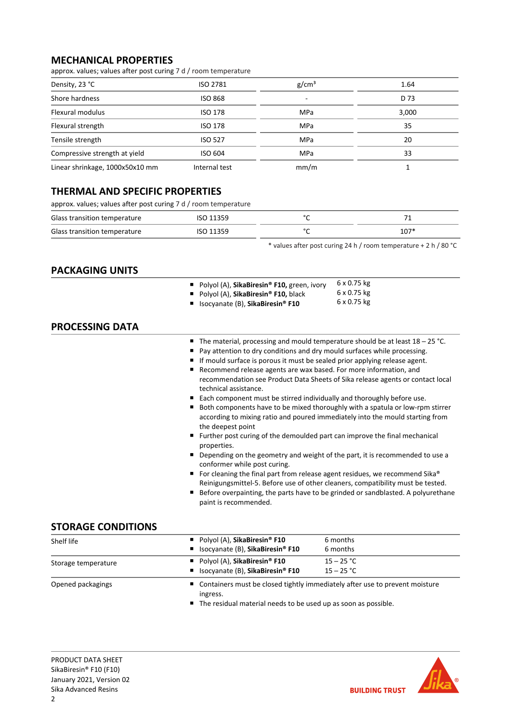## **MECHANICAL PROPERTIES**

approx. values; values after post curing 7 d / room temperature

| Density, 23 °C                  | <b>ISO 2781</b> | g/cm <sup>3</sup> | 1.64  |
|---------------------------------|-----------------|-------------------|-------|
| Shore hardness                  | <b>ISO 868</b>  | ۰                 | D 73  |
| Flexural modulus                | ISO 178         | MPa               | 3,000 |
| Flexural strength               | <b>ISO 178</b>  | MPa               | 35    |
| Tensile strength                | <b>ISO 527</b>  | MPa               | 20    |
| Compressive strength at yield   | ISO 604         | MPa               | 33    |
| Linear shrinkage, 1000x50x10 mm | Internal test   | mm/m              |       |

## **THERMAL AND SPECIFIC PROPERTIES**

approx. values; values after post curing 7 d / room temperature

| Glass transition temperature | ISO 11359 | $\sim$ |        |
|------------------------------|-----------|--------|--------|
| Glass transition temperature | ISO 11359 | $\sim$ | $107*$ |

\* values after post curing 24 h / room temperature + 2 h / 80 °C

## **PACKAGING UNITS**

|                        | 6 x 0.75 kg<br>Polyol (A), SikaBiresin® F10, green, ivory<br>6 x 0.75 kg<br>Polyol (A), SikaBiresin® F10, black<br>6 x 0.75 kg<br>Isocyanate (B), SikaBiresin® F10                                                                                                                                                                                                                                                                                                                                                                                                                                                                                                                                                                                                                                                                                                                                                                                                                                                                                                                                                                                                                          |  |
|------------------------|---------------------------------------------------------------------------------------------------------------------------------------------------------------------------------------------------------------------------------------------------------------------------------------------------------------------------------------------------------------------------------------------------------------------------------------------------------------------------------------------------------------------------------------------------------------------------------------------------------------------------------------------------------------------------------------------------------------------------------------------------------------------------------------------------------------------------------------------------------------------------------------------------------------------------------------------------------------------------------------------------------------------------------------------------------------------------------------------------------------------------------------------------------------------------------------------|--|
| <b>PROCESSING DATA</b> |                                                                                                                                                                                                                                                                                                                                                                                                                                                                                                                                                                                                                                                                                                                                                                                                                                                                                                                                                                                                                                                                                                                                                                                             |  |
|                        | The material, processing and mould temperature should be at least $18 - 25$ °C.<br>Pay attention to dry conditions and dry mould surfaces while processing.<br>If mould surface is porous it must be sealed prior applying release agent.<br>Recommend release agents are wax based. For more information, and<br>recommendation see Product Data Sheets of Sika release agents or contact local<br>technical assistance.<br>Each component must be stirred individually and thoroughly before use.<br>Both components have to be mixed thoroughly with a spatula or low-rpm stirrer<br>according to mixing ratio and poured immediately into the mould starting from<br>the deepest point<br>Further post curing of the demoulded part can improve the final mechanical<br>properties.<br>Depending on the geometry and weight of the part, it is recommended to use a<br>conformer while post curing.<br>For cleaning the final part from release agent residues, we recommend Sika®<br>п<br>Reinigungsmittel-5. Before use of other cleaners, compatibility must be tested.<br>Before overpainting, the parts have to be grinded or sandblasted. A polyurethane<br>paint is recommended. |  |

## **STORAGE CONDITIONS**

| Shelf life          | Polyol (A), SikaBiresin <sup>®</sup> F10<br>■ Isocyanate (B), SikaBiresin <sup>®</sup> F10 | 6 months<br>6 months                                                          |  |
|---------------------|--------------------------------------------------------------------------------------------|-------------------------------------------------------------------------------|--|
| Storage temperature | Polyol (A), SikaBiresin <sup>®</sup> F10<br>■ Isocyanate (B), SikaBiresin <sup>®</sup> F10 | $15 - 25 °C$<br>$15 - 25 °C$                                                  |  |
| Opened packagings   | ingress.                                                                                   | ■ Containers must be closed tightly immediately after use to prevent moisture |  |

■ The residual material needs to be used up as soon as possible.